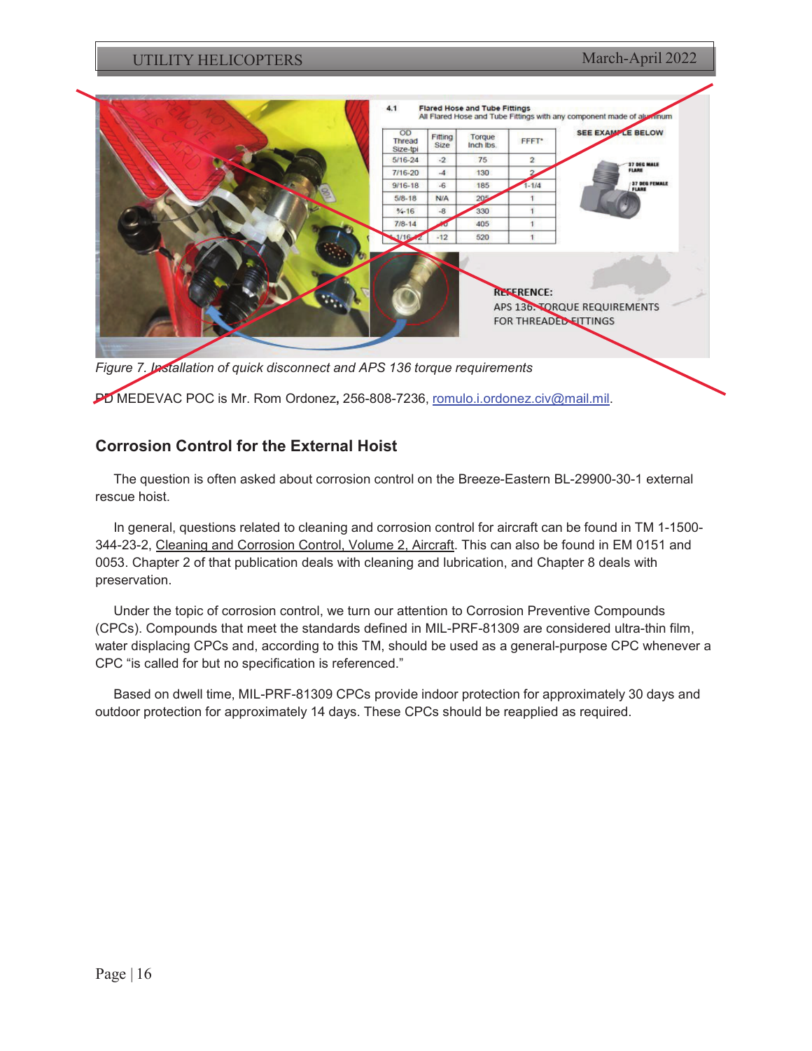

## **Corrosion Control for the External Hoist**

The question is often asked about corrosion control on the Breeze-Eastern BL-29900-30-1 external rescue hoist.

In general, questions related to cleaning and corrosion control for aircraft can be found in TM 1-1500- 344-23-2, Cleaning and Corrosion Control, Volume 2, Aircraft. This can also be found in EM 0151 and 0053. Chapter 2 of that publication deals with cleaning and lubrication, and Chapter 8 deals with preservation.

Under the topic of corrosion control, we turn our attention to Corrosion Preventive Compounds (CPCs). Compounds that meet the standards defined in MIL-PRF-81309 are considered ultra-thin film, water displacing CPCs and, according to this TM, should be used as a general-purpose CPC whenever a CPC "is called for but no specification is referenced."

Based on dwell time, MIL-PRF-81309 CPCs provide indoor protection for approximately 30 days and outdoor protection for approximately 14 days. These CPCs should be reapplied as required.